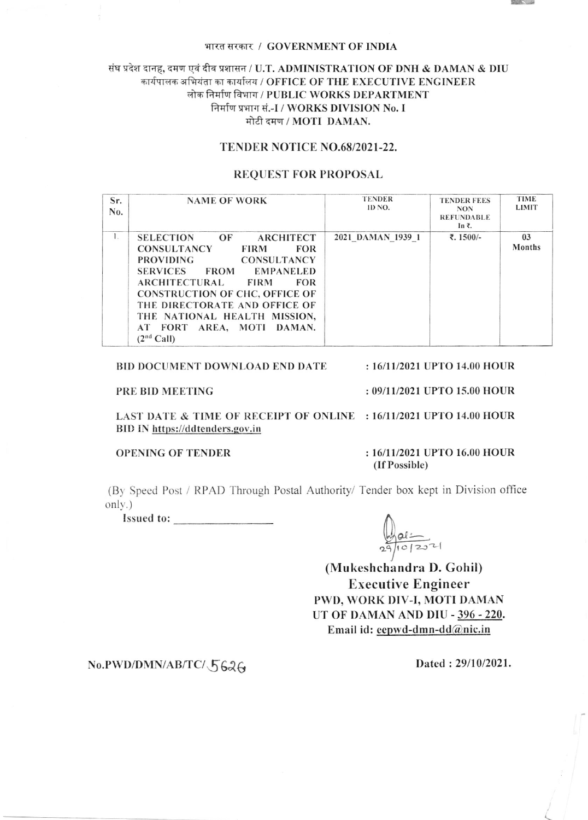### भारत सरकार / GOVERNMENT OF INDIA

## संघ प्रदेश दानह, दमण एवं दीव प्रशासन / U.T. ADMINISTRATION OF DNH & DAMAN & DIU कार्यपालक अभियंता का कार्यालय / OFFICE OF THE EXECUTIVE ENGINEER लोक निर्माण विभाग / PUBLIC WORKS DEPARTMENT निर्माण प्रभाग सं.-I / WORKS DIVISION No. I मोटी दमण / MOTI DAMAN.

### TENDER NOTICE NO.68/2021-22.

### **REQUEST FOR PROPOSAL**

| Sr.<br>N <sub>0</sub> . | <b>NAME OF WORK</b>                                                                                                                                                                                                                                                                                                                                                                                   | <b>TENDER</b><br>ID NO. | <b>TENDER FEES</b><br><b>NON</b><br><b>REFUNDABLE</b><br>In ₹. | <b>TIME</b><br><b>LIMIT</b> |
|-------------------------|-------------------------------------------------------------------------------------------------------------------------------------------------------------------------------------------------------------------------------------------------------------------------------------------------------------------------------------------------------------------------------------------------------|-------------------------|----------------------------------------------------------------|-----------------------------|
| 1.                      | <b>SELECTION</b><br>OF<br>ARCHITECT<br><b>CONSULTANCY</b><br><b>FOR</b><br><b>FIRM</b><br><b>PROVIDING</b><br><b>CONSULTANCY</b><br><b>EMPANELED</b><br><b>SERVICES</b><br><b>FROM</b><br><b>ARCHITECTURAL</b><br><b>FOR</b><br><b>FIRM</b><br><b>CONSTRUCTION OF CHC, OFFICE OF</b><br>THE DIRECTORATE AND OFFICE OF<br>THE NATIONAL HEALTH MISSION,<br>AT FORT AREA, MOTI<br>DAMAN.<br>$(2nd$ Call) | 2021 DAMAN 1939 1       | ₹. 1500/-                                                      | 03<br>Months                |

#### **BID DOCUMENT DOWNLOAD END DATE** : 16/11/2021 UPTO 14.00 HOUR

### PRE BID MEETING

: 09/11/2021 UPTO 15.00 HOUR

LAST DATE & TIME OF RECEIPT OF ONLINE : 16/11/2021 UPTO 14.00 HOUR BID IN https://ddtenders.gov.in

**OPENING OF TENDER** 

### : 16/11/2021 UPTO 16.00 HOUR (If Possible)

(By Speed Post / RPAD Through Postal Authority/ Tender box kept in Division office only.)

Issued to:

 $29/10/207$ 

(Mukeshchandra D. Gohil) **Executive Engineer** PWD, WORK DIV-I, MOTI DAMAN UT OF DAMAN AND DIU - 396 - 220. Email id: eepwd-dmn-dd@nic.in

# No.PWD/DMN/AB/TC/5626

Dated: 29/10/2021.